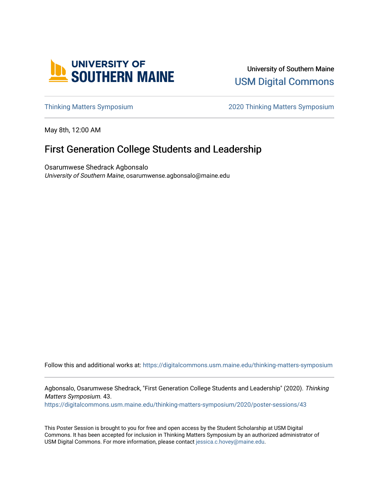

University of Southern Maine [USM Digital Commons](https://digitalcommons.usm.maine.edu/) 

[Thinking Matters Symposium](https://digitalcommons.usm.maine.edu/thinking-matters-symposium) [2020 Thinking Matters Symposium](https://digitalcommons.usm.maine.edu/thinking-matters-symposium/2020) 

May 8th, 12:00 AM

### First Generation College Students and Leadership

Osarumwese Shedrack Agbonsalo University of Southern Maine, osarumwense.agbonsalo@maine.edu

Follow this and additional works at: [https://digitalcommons.usm.maine.edu/thinking-matters-symposium](https://digitalcommons.usm.maine.edu/thinking-matters-symposium?utm_source=digitalcommons.usm.maine.edu%2Fthinking-matters-symposium%2F2020%2Fposter-sessions%2F43&utm_medium=PDF&utm_campaign=PDFCoverPages) 

Agbonsalo, Osarumwese Shedrack, "First Generation College Students and Leadership" (2020). Thinking Matters Symposium. 43. [https://digitalcommons.usm.maine.edu/thinking-matters-symposium/2020/poster-sessions/43](https://digitalcommons.usm.maine.edu/thinking-matters-symposium/2020/poster-sessions/43?utm_source=digitalcommons.usm.maine.edu%2Fthinking-matters-symposium%2F2020%2Fposter-sessions%2F43&utm_medium=PDF&utm_campaign=PDFCoverPages) 

This Poster Session is brought to you for free and open access by the Student Scholarship at USM Digital Commons. It has been accepted for inclusion in Thinking Matters Symposium by an authorized administrator of USM Digital Commons. For more information, please contact [jessica.c.hovey@maine.edu](mailto:ian.fowler@maine.edu).